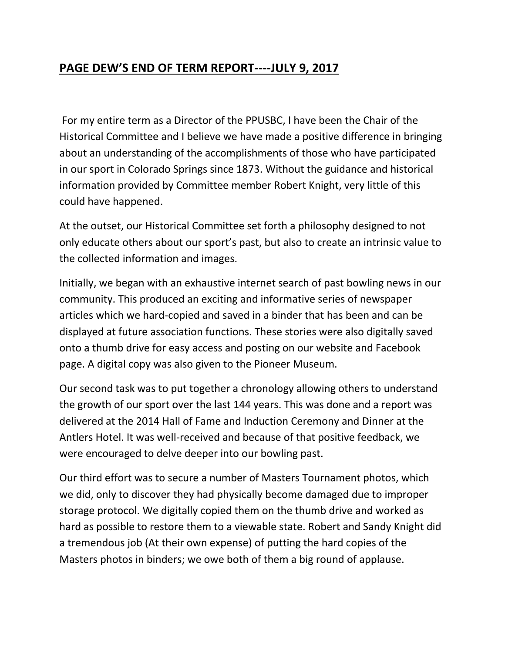## **PAGE DEW'S END OF TERM REPORT----JULY 9, 2017**

For my entire term as a Director of the PPUSBC, I have been the Chair of the Historical Committee and I believe we have made a positive difference in bringing about an understanding of the accomplishments of those who have participated in our sport in Colorado Springs since 1873. Without the guidance and historical information provided by Committee member Robert Knight, very little of this could have happened.

At the outset, our Historical Committee set forth a philosophy designed to not only educate others about our sport's past, but also to create an intrinsic value to the collected information and images.

Initially, we began with an exhaustive internet search of past bowling news in our community. This produced an exciting and informative series of newspaper articles which we hard-copied and saved in a binder that has been and can be displayed at future association functions. These stories were also digitally saved onto a thumb drive for easy access and posting on our website and Facebook page. A digital copy was also given to the Pioneer Museum.

Our second task was to put together a chronology allowing others to understand the growth of our sport over the last 144 years. This was done and a report was delivered at the 2014 Hall of Fame and Induction Ceremony and Dinner at the Antlers Hotel. It was well-received and because of that positive feedback, we were encouraged to delve deeper into our bowling past.

Our third effort was to secure a number of Masters Tournament photos, which we did, only to discover they had physically become damaged due to improper storage protocol. We digitally copied them on the thumb drive and worked as hard as possible to restore them to a viewable state. Robert and Sandy Knight did a tremendous job (At their own expense) of putting the hard copies of the Masters photos in binders; we owe both of them a big round of applause.